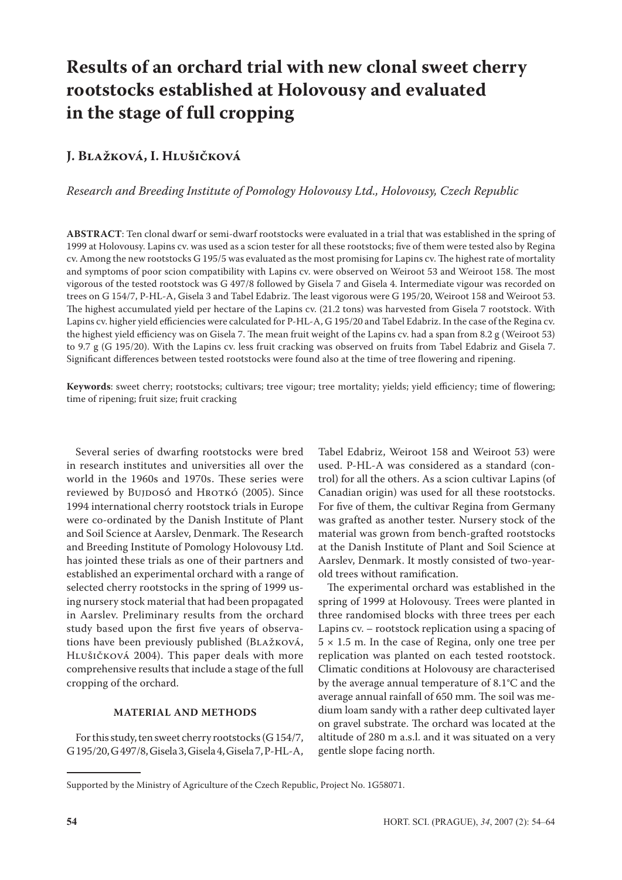# **Results of an orchard trial with new clonal sweet cherry rootstocks established at Holovousy and evaluated in the stage of full cropping**

# **J. Blažková, I. Hlušičková**

*Research and Breeding Institute of Pomology Holovousy Ltd., Holovousy, Czech Republic*

**Abstract**: Ten clonal dwarf or semi-dwarf rootstocks were evaluated in a trial that was established in the spring of 1999 at Holovousy. Lapins cv. was used as a scion tester for all these rootstocks; five of them were tested also by Regina cv. Among the new rootstocks G 195/5 was evaluated as the most promising for Lapins cv. The highest rate of mortality and symptoms of poor scion compatibility with Lapins cv. were observed on Weiroot 53 and Weiroot 158. The most vigorous of the tested rootstock was G 497/8 followed by Gisela 7 and Gisela 4. Intermediate vigour was recorded on trees on G 154/7, P-HL-A, Gisela 3 and Tabel Edabriz. The least vigorous were G 195/20, Weiroot 158 and Weiroot 53. The highest accumulated yield per hectare of the Lapins cv. (21.2 tons) was harvested from Gisela 7 rootstock. With Lapins cv. higher yield efficiencies were calculated for P-HL-A, G 195/20 and Tabel Edabriz. In the case of the Regina cv. the highest yield efficiency was on Gisela 7. The mean fruit weight of the Lapins cv. had a span from 8.2 g (Weiroot 53) to 9.7 g (G 195/20). With the Lapins cv. less fruit cracking was observed on fruits from Tabel Edabriz and Gisela 7. Significant differences between tested rootstocks were found also at the time of tree flowering and ripening.

**Keywords**: sweet cherry; rootstocks; cultivars; tree vigour; tree mortality; yields; yield efficiency; time of flowering; time of ripening; fruit size; fruit cracking

Several series of dwarfing rootstocks were bred in research institutes and universities all over the world in the 1960s and 1970s. These series were reviewed by Bujposó and Hrotkó (2005). Since 1994 international cherry rootstock trials in Europe were co-ordinated by the Danish Institute of Plant and Soil Science at Aarslev, Denmark. The Research and Breeding Institute of Pomology Holovousy Ltd. has jointed these trials as one of their partners and established an experimental orchard with a range of selected cherry rootstocks in the spring of 1999 using nursery stock material that had been propagated in Aarslev. Preliminary results from the orchard study based upon the first five years of observations have been previously published (Blažková, HLUŠIČKOVÁ 2004). This paper deals with more comprehensive results that include a stage of the full cropping of the orchard.

# **MateriAl aND methods**

For this study, ten sweet cherry rootstocks (G 154/7, G 195/20, G 497/8, Gisela 3, Gisela 4, Gisela 7, P-HL-A,

Tabel Edabriz, Weiroot 158 and Weiroot 53) were used. P-HL-A was considered as a standard (control) for all the others. As a scion cultivar Lapins (of Canadian origin) was used for all these rootstocks. For five of them, the cultivar Regina from Germany was grafted as another tester. Nursery stock of the material was grown from bench-grafted rootstocks at the Danish Institute of Plant and Soil Science at Aarslev, Denmark. It mostly consisted of two-yearold trees without ramification.

The experimental orchard was established in the spring of 1999 at Holovousy. Trees were planted in three randomised blocks with three trees per each Lapins cv. – rootstock replication using a spacing of  $5 \times 1.5$  m. In the case of Regina, only one tree per replication was planted on each tested rootstock. Climatic conditions at Holovousy are characterised by the average annual temperature of 8.1°C and the average annual rainfall of 650 mm. The soil was medium loam sandy with a rather deep cultivated layer on gravel substrate. The orchard was located at the altitude of 280 m a.s.l. and it was situated on a very gentle slope facing north.

Supported by the Ministry of Agriculture of the Czech Republic, Project No. 1G58071.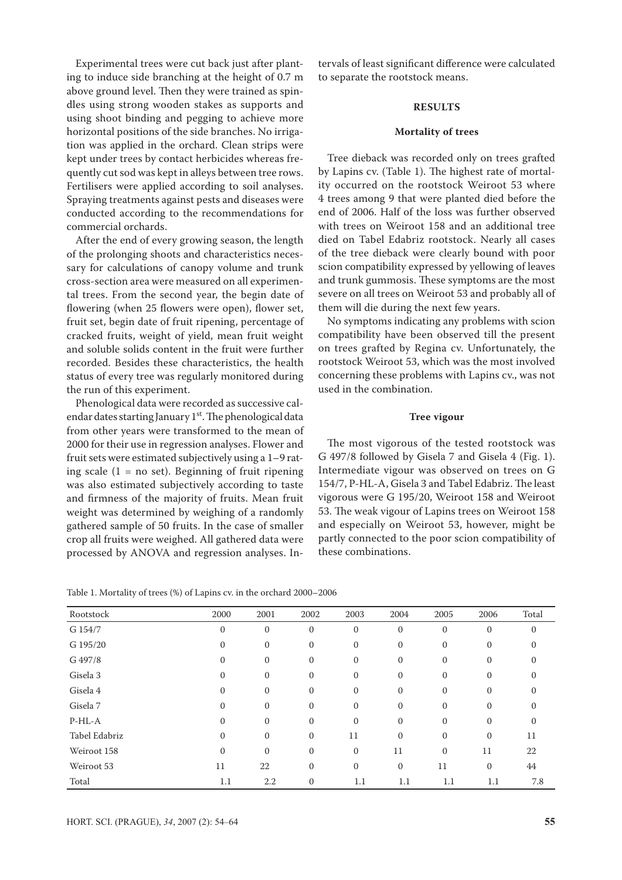Experimental trees were cut back just after planting to induce side branching at the height of 0.7 m above ground level. Then they were trained as spindles using strong wooden stakes as supports and using shoot binding and pegging to achieve more horizontal positions of the side branches. No irrigation was applied in the orchard. Clean strips were kept under trees by contact herbicides whereas frequently cut sod was kept in alleys between tree rows. Fertilisers were applied according to soil analyses. Spraying treatments against pests and diseases were conducted according to the recommendations for commercial orchards.

After the end of every growing season, the length of the prolonging shoots and characteristics necessary for calculations of canopy volume and trunk cross-section area were measured on all experimental trees. From the second year, the begin date of flowering (when 25 flowers were open), flower set, fruit set, begin date of fruit ripening, percentage of cracked fruits, weight of yield, mean fruit weight and soluble solids content in the fruit were further recorded. Besides these characteristics, the health status of every tree was regularly monitored during the run of this experiment.

Phenological data were recorded as successive calendar dates starting January  $1<sup>st</sup>$ . The phenological data from other years were transformed to the mean of 2000 for their use in regression analyses. Flower and fruit sets were estimated subjectively using a 1–9 rating scale  $(1 = no set)$ . Beginning of fruit ripening was also estimated subjectively according to taste and firmness of the majority of fruits. Mean fruit weight was determined by weighing of a randomly gathered sample of 50 fruits. In the case of smaller crop all fruits were weighed. All gathered data were processed by ANOVA and regression analyses. In-

tervals of least significant difference were calculated to separate the rootstock means.

# **RESULTS**

#### **Mortality of trees**

Tree dieback was recorded only on trees grafted by Lapins cv. (Table 1). The highest rate of mortality occurred on the rootstock Weiroot 53 where 4 trees among 9 that were planted died before the end of 2006. Half of the loss was further observed with trees on Weiroot 158 and an additional tree died on Tabel Edabriz rootstock. Nearly all cases of the tree dieback were clearly bound with poor scion compatibility expressed by yellowing of leaves and trunk gummosis. These symptoms are the most severe on all trees on Weiroot 53 and probably all of them will die during the next few years.

No symptoms indicating any problems with scion compatibility have been observed till the present on trees grafted by Regina cv. Unfortunately, the rootstock Weiroot 53, which was the most involved concerning these problems with Lapins cv., was not used in the combination.

# **Tree vigour**

The most vigorous of the tested rootstock was G 497/8 followed by Gisela 7 and Gisela 4 (Fig. 1). Intermediate vigour was observed on trees on G 154/7, P-HL-A, Gisela 3 and Tabel Edabriz. The least vigorous were G 195/20, Weiroot 158 and Weiroot 53. The weak vigour of Lapins trees on Weiroot 158 and especially on Weiroot 53, however, might be partly connected to the poor scion compatibility of these combinations.

|  | Table 1. Mortality of trees (%) of Lapins cv. in the orchard 2000-2006 |
|--|------------------------------------------------------------------------|
|--|------------------------------------------------------------------------|

| Rootstock     | 2000         | 2001             | 2002         | 2003             | 2004         | 2005         | 2006         | Total        |
|---------------|--------------|------------------|--------------|------------------|--------------|--------------|--------------|--------------|
| G 154/7       | $\mathbf{0}$ | $\boldsymbol{0}$ | $\mathbf{0}$ | $\mathbf{0}$     | $\mathbf{0}$ | $\mathbf{0}$ | $\mathbf{0}$ | $\mathbf{0}$ |
| G 195/20      | $\Omega$     | $\boldsymbol{0}$ | $\mathbf{0}$ | $\mathbf{0}$     | $\mathbf{0}$ | $\mathbf{0}$ | $\mathbf{0}$ | $\mathbf{0}$ |
| G 497/8       | $\Omega$     | $\boldsymbol{0}$ | $\mathbf{0}$ | $\mathbf{0}$     | $\mathbf{0}$ | $\mathbf{0}$ | $\mathbf{0}$ | $\Omega$     |
| Gisela 3      | $\Omega$     | $\boldsymbol{0}$ | $\mathbf{0}$ | $\mathbf{0}$     | $\mathbf{0}$ | $\mathbf{0}$ | $\mathbf{0}$ | $\mathbf{0}$ |
| Gisela 4      | $\mathbf{0}$ | $\boldsymbol{0}$ | $\mathbf{0}$ | $\mathbf{0}$     | $\mathbf{0}$ | $\mathbf{0}$ | $\mathbf{0}$ | $\mathbf{0}$ |
| Gisela 7      | $\mathbf{0}$ | $\boldsymbol{0}$ | $\mathbf{0}$ | $\boldsymbol{0}$ | $\mathbf{0}$ | $\mathbf{0}$ | $\mathbf{0}$ | $\mathbf{0}$ |
| $P-HL-A$      | $\mathbf{0}$ | $\boldsymbol{0}$ | $\mathbf{0}$ | $\boldsymbol{0}$ | $\mathbf{0}$ | $\mathbf{0}$ | $\mathbf{0}$ | $\mathbf{0}$ |
| Tabel Edabriz | $\mathbf{0}$ | $\mathbf{0}$     | $\mathbf{0}$ | 11               | $\mathbf{0}$ | $\mathbf{0}$ | $\mathbf{0}$ | 11           |
| Weiroot 158   | $\mathbf{0}$ | $\boldsymbol{0}$ | $\mathbf{0}$ | $\mathbf{0}$     | 11           | $\mathbf{0}$ | 11           | 22           |
| Weiroot 53    | 11           | 22               | $\mathbf{0}$ | $\mathbf{0}$     | $\mathbf{0}$ | 11           | $\mathbf{0}$ | 44           |
| Total         | 1.1          | 2.2              | $\mathbf{0}$ | 1.1              | 1.1          | 1.1          | $1.1\,$      | 7.8          |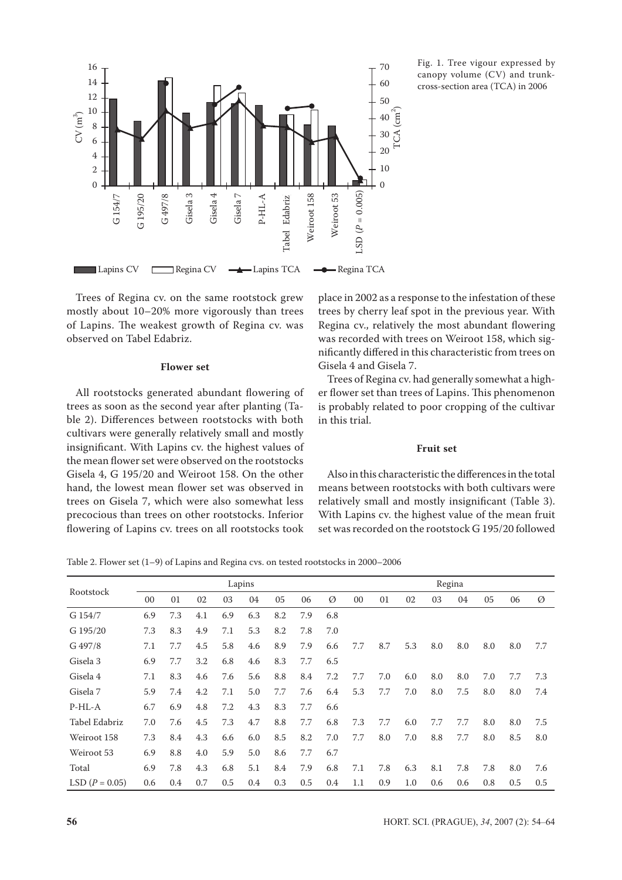

Fig. 1. Tree vigour expressed by canopy volume (CV) and trunkcross-section area (TCA) in 2006

#### **Flower set**

# **Fruit set**

Table 2. Flower set (1–9) of Lapins and Regina cvs. on tested rootstocks in 2000–2006

|                                                                                                                                                                                                                                                                                                                                                                  |     |                                                                                                                                                                                                                                                                                         |     |     |        | Tabel | ≫   | ⋗                                                                                                                                                                                                                      | LSD                                                |     |         |                                                          |     |     |     |           |  |  |
|------------------------------------------------------------------------------------------------------------------------------------------------------------------------------------------------------------------------------------------------------------------------------------------------------------------------------------------------------------------|-----|-----------------------------------------------------------------------------------------------------------------------------------------------------------------------------------------------------------------------------------------------------------------------------------------|-----|-----|--------|-------|-----|------------------------------------------------------------------------------------------------------------------------------------------------------------------------------------------------------------------------|----------------------------------------------------|-----|---------|----------------------------------------------------------|-----|-----|-----|-----------|--|--|
| Lapins CV Regina CV <b>-</b> Lapins TCA                                                                                                                                                                                                                                                                                                                          |     |                                                                                                                                                                                                                                                                                         |     |     |        |       |     | - Regina TCA                                                                                                                                                                                                           |                                                    |     |         |                                                          |     |     |     |           |  |  |
| Trees of Regina cv. on the same rootstock grew<br>mostly about 10-20% more vigorously than trees<br>of Lapins. The weakest growth of Regina cv. was<br>observed on Tabel Edabriz.                                                                                                                                                                                |     | place in 2002 as a response to the infestation of these<br>trees by cherry leaf spot in the previous year. With<br>Regina cv., relatively the most abundant flowering<br>was recorded with trees on Weiroot 158, which sig-<br>nificantly differed in this characteristic from trees or |     |     |        |       |     |                                                                                                                                                                                                                        |                                                    |     |         |                                                          |     |     |     |           |  |  |
|                                                                                                                                                                                                                                                                                                                                                                  |     | <b>Flower</b> set                                                                                                                                                                                                                                                                       |     |     |        |       |     | Gisela 4 and Gisela 7.                                                                                                                                                                                                 |                                                    |     |         |                                                          |     |     |     |           |  |  |
|                                                                                                                                                                                                                                                                                                                                                                  |     |                                                                                                                                                                                                                                                                                         |     |     |        |       |     |                                                                                                                                                                                                                        | Trees of Regina cv. had generally somewhat a high- |     |         |                                                          |     |     |     |           |  |  |
| All rootstocks generated abundant flowering of                                                                                                                                                                                                                                                                                                                   |     |                                                                                                                                                                                                                                                                                         |     |     |        |       |     | er flower set than trees of Lapins. This phenomenor                                                                                                                                                                    |                                                    |     |         |                                                          |     |     |     |           |  |  |
| trees as soon as the second year after planting (Ta-<br>ble 2). Differences between rootstocks with both<br>cultivars were generally relatively small and mostly                                                                                                                                                                                                 |     |                                                                                                                                                                                                                                                                                         |     |     |        |       |     | is probably related to poor cropping of the cultival<br>in this trial.                                                                                                                                                 |                                                    |     |         |                                                          |     |     |     |           |  |  |
| insignificant. With Lapins cv. the highest values of<br>the mean flower set were observed on the rootstocks                                                                                                                                                                                                                                                      |     |                                                                                                                                                                                                                                                                                         |     |     |        |       |     | <b>Fruit set</b>                                                                                                                                                                                                       |                                                    |     |         |                                                          |     |     |     |           |  |  |
| Gisela 4, G 195/20 and Weiroot 158. On the other<br>hand, the lowest mean flower set was observed in<br>trees on Gisela 7, which were also somewhat less<br>precocious than trees on other rootstocks. Inferior<br>flowering of Lapins cv. trees on all rootstocks took<br>Table 2. Flower set (1–9) of Lapins and Regina cvs. on tested rootstocks in 2000–2006 |     |                                                                                                                                                                                                                                                                                         |     |     |        |       |     | means between rootstocks with both cultivars were<br>relatively small and mostly insignificant (Table 3)<br>With Lapins cv. the highest value of the mean fruit<br>set was recorded on the rootstock G 195/20 followed |                                                    |     |         | Also in this characteristic the differences in the total |     |     |     |           |  |  |
|                                                                                                                                                                                                                                                                                                                                                                  |     |                                                                                                                                                                                                                                                                                         |     |     | Lapins |       |     | Regina                                                                                                                                                                                                                 |                                                    |     |         |                                                          |     |     |     |           |  |  |
| Rootstock                                                                                                                                                                                                                                                                                                                                                        | 00  | 01                                                                                                                                                                                                                                                                                      | 02  | 03  | 04     | 05    | 06  | Ø                                                                                                                                                                                                                      | 00                                                 | 01  | 02      | 03                                                       | 04  | 05  | 06  | Ø         |  |  |
| G 154/7                                                                                                                                                                                                                                                                                                                                                          | 6.9 | 7.3                                                                                                                                                                                                                                                                                     | 4.1 | 6.9 | 6.3    | 8.2   | 7.9 | 6.8                                                                                                                                                                                                                    |                                                    |     |         |                                                          |     |     |     |           |  |  |
| G 195/20                                                                                                                                                                                                                                                                                                                                                         | 7.3 | 8.3                                                                                                                                                                                                                                                                                     | 4.9 | 7.1 | 5.3    | 8.2   | 7.8 | 7.0                                                                                                                                                                                                                    |                                                    |     |         |                                                          |     |     |     |           |  |  |
| G 497/8                                                                                                                                                                                                                                                                                                                                                          | 7.1 | 7.7                                                                                                                                                                                                                                                                                     | 4.5 | 5.8 | 4.6    | 8.9   | 7.9 | 6.6                                                                                                                                                                                                                    | 7.7                                                | 8.7 | 5.3     | 8.0                                                      | 8.0 | 8.0 | 8.0 | 7.7       |  |  |
| Gisela 3                                                                                                                                                                                                                                                                                                                                                         | 6.9 | 7.7                                                                                                                                                                                                                                                                                     | 3.2 | 6.8 | 4.6    | 8.3   | 7.7 | 6.5                                                                                                                                                                                                                    |                                                    |     |         |                                                          |     |     |     |           |  |  |
| Gisela 4                                                                                                                                                                                                                                                                                                                                                         | 7.1 | 8.3                                                                                                                                                                                                                                                                                     | 4.6 | 7.6 | 5.6    | 8.8   | 8.4 | 7.2                                                                                                                                                                                                                    | 7.7                                                | 7.0 | 6.0     | 8.0                                                      | 8.0 | 7.0 | 7.7 | 7.3       |  |  |
| Gisela 7                                                                                                                                                                                                                                                                                                                                                         | 5.9 | 7.4                                                                                                                                                                                                                                                                                     | 4.2 | 7.1 | 5.0    | 7.7   | 7.6 | 6.4                                                                                                                                                                                                                    | 5.3                                                | 7.7 | 7.0     | 8.0                                                      | 7.5 | 8.0 | 8.0 | 7.4       |  |  |
| $P-HL-A$                                                                                                                                                                                                                                                                                                                                                         | 6.7 | 6.9                                                                                                                                                                                                                                                                                     | 4.8 | 7.2 | 4.3    | 8.3   | 7.7 | 6.6                                                                                                                                                                                                                    |                                                    |     |         |                                                          |     |     |     |           |  |  |
| Tabel Edabriz                                                                                                                                                                                                                                                                                                                                                    | 7.0 | 7.6                                                                                                                                                                                                                                                                                     | 4.5 | 7.3 | 4.7    | 8.8   | 7.7 | 6.8                                                                                                                                                                                                                    | 7.3                                                | 7.7 | 6.0     | 7.7                                                      | 7.7 | 8.0 | 8.0 | $7.5\,$   |  |  |
| Weiroot 158                                                                                                                                                                                                                                                                                                                                                      | 7.3 | 8.4                                                                                                                                                                                                                                                                                     | 4.3 | 6.6 | 6.0    | 8.5   | 8.2 | $7.0\,$                                                                                                                                                                                                                | 7.7                                                | 8.0 | 7.0     | 8.8                                                      | 7.7 | 8.0 | 8.5 | $\rm 8.0$ |  |  |
| Weiroot 53                                                                                                                                                                                                                                                                                                                                                       | 6.9 | 8.8                                                                                                                                                                                                                                                                                     | 4.0 | 5.9 | 5.0    | 8.6   | 7.7 | 6.7                                                                                                                                                                                                                    |                                                    |     |         |                                                          |     |     |     |           |  |  |
| Total                                                                                                                                                                                                                                                                                                                                                            | 6.9 | 7.8                                                                                                                                                                                                                                                                                     | 4.3 | 6.8 | 5.1    | 8.4   | 7.9 | 6.8                                                                                                                                                                                                                    | 7.1                                                | 7.8 | 6.3     | 8.1                                                      | 7.8 | 7.8 | 8.0 | 7.6       |  |  |
| LSD $(P = 0.05)$                                                                                                                                                                                                                                                                                                                                                 | 0.6 | 0.4                                                                                                                                                                                                                                                                                     | 0.7 | 0.5 | 0.4    | 0.3   | 0.5 | 0.4                                                                                                                                                                                                                    | 1.1                                                | 0.9 | $1.0\,$ | 0.6                                                      | 0.6 | 0.8 | 0.5 | $0.5\,$   |  |  |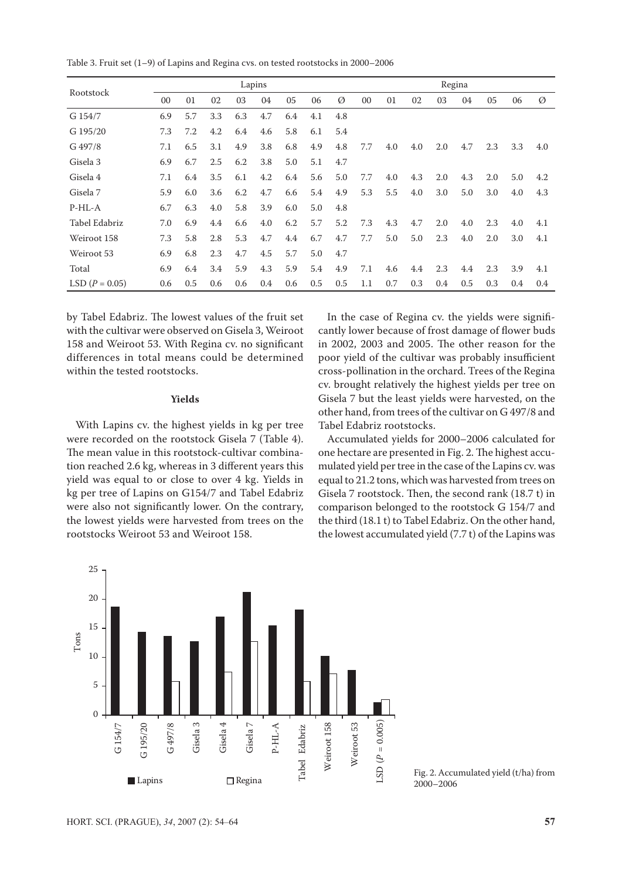Table 3. Fruit set (1–9) of Lapins and Regina cvs. on tested rootstocks in 2000–2006

| Rootstock        |     |     |     | Lapins |     |     |     | Regina |                |     |     |     |     |     |     |     |
|------------------|-----|-----|-----|--------|-----|-----|-----|--------|----------------|-----|-----|-----|-----|-----|-----|-----|
|                  | 00  | 01  | 02  | 03     | 04  | 05  | 06  | Ø      | 0 <sub>0</sub> | 01  | 02  | 03  | 04  | 05  | 06  | Ø   |
| G 154/7          | 6.9 | 5.7 | 3.3 | 6.3    | 4.7 | 6.4 | 4.1 | 4.8    |                |     |     |     |     |     |     |     |
| G 195/20         | 7.3 | 7.2 | 4.2 | 6.4    | 4.6 | 5.8 | 6.1 | 5.4    |                |     |     |     |     |     |     |     |
| G 497/8          | 7.1 | 6.5 | 3.1 | 4.9    | 3.8 | 6.8 | 4.9 | 4.8    | 7.7            | 4.0 | 4.0 | 2.0 | 4.7 | 2.3 | 3.3 | 4.0 |
| Gisela 3         | 6.9 | 6.7 | 2.5 | 6.2    | 3.8 | 5.0 | 5.1 | 4.7    |                |     |     |     |     |     |     |     |
| Gisela 4         | 7.1 | 6.4 | 3.5 | 6.1    | 4.2 | 6.4 | 5.6 | 5.0    | 7.7            | 4.0 | 4.3 | 2.0 | 4.3 | 2.0 | 5.0 | 4.2 |
| Gisela 7         | 5.9 | 6.0 | 3.6 | 6.2    | 4.7 | 6.6 | 5.4 | 4.9    | 5.3            | 5.5 | 4.0 | 3.0 | 5.0 | 3.0 | 4.0 | 4.3 |
| $P-HL-A$         | 6.7 | 6.3 | 4.0 | 5.8    | 3.9 | 6.0 | 5.0 | 4.8    |                |     |     |     |     |     |     |     |
| Tabel Edabriz    | 7.0 | 6.9 | 4.4 | 6.6    | 4.0 | 6.2 | 5.7 | 5.2    | 7.3            | 4.3 | 4.7 | 2.0 | 4.0 | 2.3 | 4.0 | 4.1 |
| Weiroot 158      | 7.3 | 5.8 | 2.8 | 5.3    | 4.7 | 4.4 | 6.7 | 4.7    | 7.7            | 5.0 | 5.0 | 2.3 | 4.0 | 2.0 | 3.0 | 4.1 |
| Weiroot 53       | 6.9 | 6.8 | 2.3 | 4.7    | 4.5 | 5.7 | 5.0 | 4.7    |                |     |     |     |     |     |     |     |
| Total            | 6.9 | 6.4 | 3.4 | 5.9    | 4.3 | 5.9 | 5.4 | 4.9    | 7.1            | 4.6 | 4.4 | 2.3 | 4.4 | 2.3 | 3.9 | 4.1 |
| LSD $(P = 0.05)$ | 0.6 | 0.5 | 0.6 | 0.6    | 0.4 | 0.6 | 0.5 | 0.5    | 1.1            | 0.7 | 0.3 | 0.4 | 0.5 | 0.3 | 0.4 | 0.4 |

by Tabel Edabriz. The lowest values of the fruit set with the cultivar were observed on Gisela 3, Weiroot 158 and Weiroot 53. With Regina cv. no significant differences in total means could be determined within the tested rootstocks.

#### **Yields**

With Lapins cv. the highest yields in kg per tree were recorded on the rootstock Gisela 7 (Table 4). The mean value in this rootstock-cultivar combination reached 2.6 kg, whereas in 3 different years this yield was equal to or close to over 4 kg. Yields in kg per tree of Lapins on G154/7 and Tabel Edabriz were also not significantly lower. On the contrary, the lowest yields were harvested from trees on the rootstocks Weiroot 53 and Weiroot 158.

In the case of Regina cv. the yields were significantly lower because of frost damage of flower buds in 2002, 2003 and 2005. The other reason for the poor yield of the cultivar was probably insufficient cross-pollination in the orchard. Trees of the Regina cv. brought relatively the highest yields per tree on Gisela 7 but the least yields were harvested, on the other hand, from trees of the cultivar on G 497/8 and Tabel Edabriz rootstocks.

Accumulated yields for 2000–2006 calculated for one hectare are presented in Fig. 2. The highest accumulated yield per tree in the case of the Lapins cv. was equal to 21.2 tons, which was harvested from trees on Gisela 7 rootstock. Then, the second rank (18.7 t) in comparison belonged to the rootstock G 154/7 and the third (18.1 t) to Tabel Edabriz. On the other hand, the lowest accumulated yield (7.7 t) of the Lapins was



2000–2006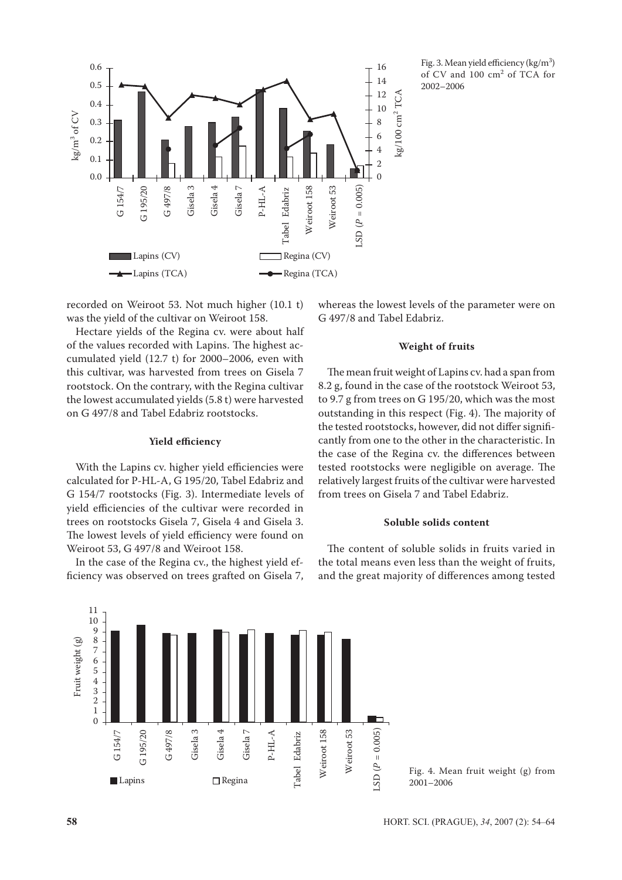

Fig. 3. Mean yield efficiency  $\frac{\text{kg}}{m^3}$ of CV and 100 cm<sup>2</sup> of TCA for 2002–2006

recorded on Weiroot 53. Not much higher (10.1 t) was the yield of the cultivar on Weiroot 158.

Hectare yields of the Regina cv. were about half of the values recorded with Lapins. The highest accumulated yield (12.7 t) for 2000–2006, even with this cultivar, was harvested from trees on Gisela 7 rootstock. On the contrary, with the Regina cultivar the lowest accumulated yields (5.8 t) were harvested on G 497/8 and Tabel Edabriz rootstocks.

# **Yield efficiency**

With the Lapins cv. higher yield efficiencies were calculated for P-HL-A, G 195/20, Tabel Edabriz and G 154/7 rootstocks (Fig. 3). Intermediate levels of yield efficiencies of the cultivar were recorded in trees on rootstocks Gisela 7, Gisela 4 and Gisela 3. The lowest levels of yield efficiency were found on Weiroot 53, G 497/8 and Weiroot 158.

In the case of the Regina cv., the highest yield efficiency was observed on trees grafted on Gisela 7, whereas the lowest levels of the parameter were on G 497/8 and Tabel Edabriz.

#### **Weight of fruits**

The mean fruit weight of Lapins cv. had a span from 8.2 g, found in the case of the rootstock Weiroot 53, to 9.7 g from trees on G 195/20, which was the most outstanding in this respect (Fig. 4). The majority of the tested rootstocks, however, did not differ significantly from one to the other in the characteristic. In the case of the Regina cv. the differences between tested rootstocks were negligible on average. The relatively largest fruits of the cultivar were harvested from trees on Gisela 7 and Tabel Edabriz.

#### **Soluble solids content**

The content of soluble solids in fruits varied in the total means even less than the weight of fruits, and the great majority of differences among tested



<sup>2001–2006</sup>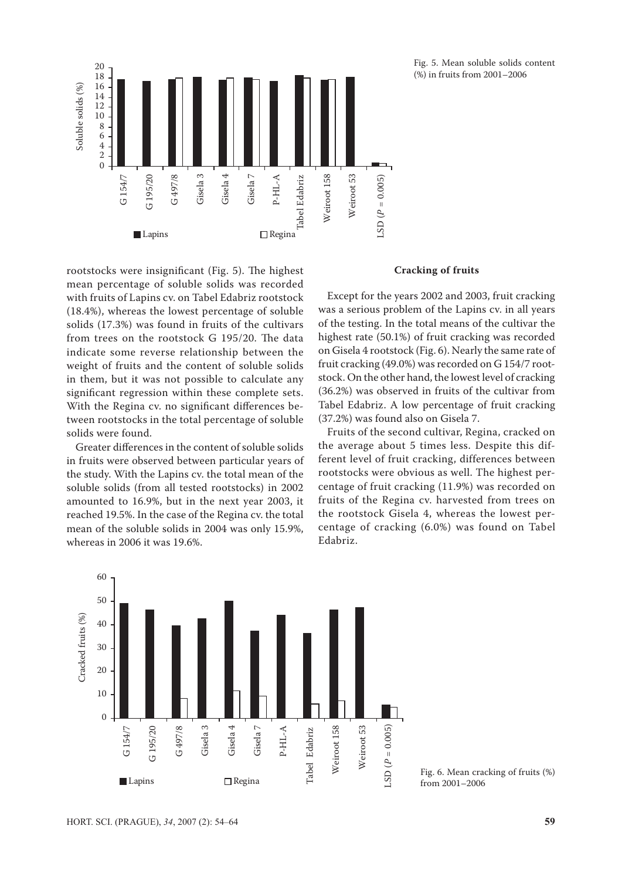

Fig. 5. Mean soluble solids content (%) in fruits from 2001–2006

rootstocks were insignificant (Fig. 5). The highest mean percentage of soluble solids was recorded with fruits of Lapins cv. on Tabel Edabriz rootstock (18.4%), whereas the lowest percentage of soluble solids (17.3%) was found in fruits of the cultivars from trees on the rootstock G 195/20. The data indicate some reverse relationship between the weight of fruits and the content of soluble solids in them, but it was not possible to calculate any significant regression within these complete sets. With the Regina cv. no significant differences between rootstocks in the total percentage of soluble solids were found.

Greater differences in the content of soluble solids in fruits were observed between particular years of the study. With the Lapins cv. the total mean of the soluble solids (from all tested rootstocks) in 2002 amounted to 16.9%, but in the next year 2003, it reached 19.5%. In the case of the Regina cv. the total mean of the soluble solids in 2004 was only 15.9%, whereas in 2006 it was 19.6%.

# **Cracking of fruits**

Except for the years 2002 and 2003, fruit cracking was a serious problem of the Lapins cv. in all years of the testing. In the total means of the cultivar the highest rate (50.1%) of fruit cracking was recorded on Gisela 4 rootstock (Fig. 6). Nearly the same rate of fruit cracking (49.0%) was recorded on G 154/7 rootstock. On the other hand, the lowest level of cracking (36.2%) was observed in fruits of the cultivar from Tabel Edabriz. A low percentage of fruit cracking (37.2%) was found also on Gisela 7.

Fruits of the second cultivar, Regina, cracked on the average about 5 times less. Despite this different level of fruit cracking, differences between rootstocks were obvious as well. The highest percentage of fruit cracking (11.9%) was recorded on fruits of the Regina cv. harvested from trees on the rootstock Gisela 4, whereas the lowest percentage of cracking (6.0%) was found on Tabel Edabriz.



from 2001–2006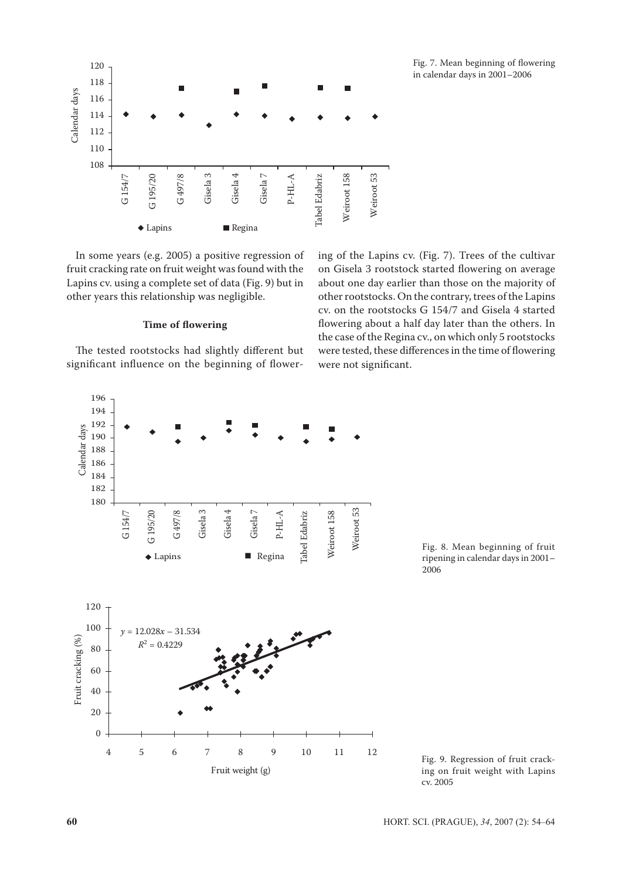

In some years (e.g. 2005) a positive regression of fruit cracking rate on fruit weight was found with the Lapins cv. using a complete set of data (Fig. 9) but in other years this relationship was negligible.

# **Time of flowering**

The tested rootstocks had slightly different but significant influence on the beginning of flowering of the Lapins cv. (Fig. 7). Trees of the cultivar on Gisela 3 rootstock started flowering on average about one day earlier than those on the majority of other rootstocks. On the contrary, trees of the Lapins cv. on the rootstocks G 154/7 and Gisela 4 started flowering about a half day later than the others. In the case of the Regina cv., on which only 5 rootstocks were tested, these differences in the time of flowering were not significant.



Fig. 8. Mean beginning of fruit ripening in calendar days in 2001– 2006

Fig. 9. Regression of fruit cracking on fruit weight with Lapins cv. 2005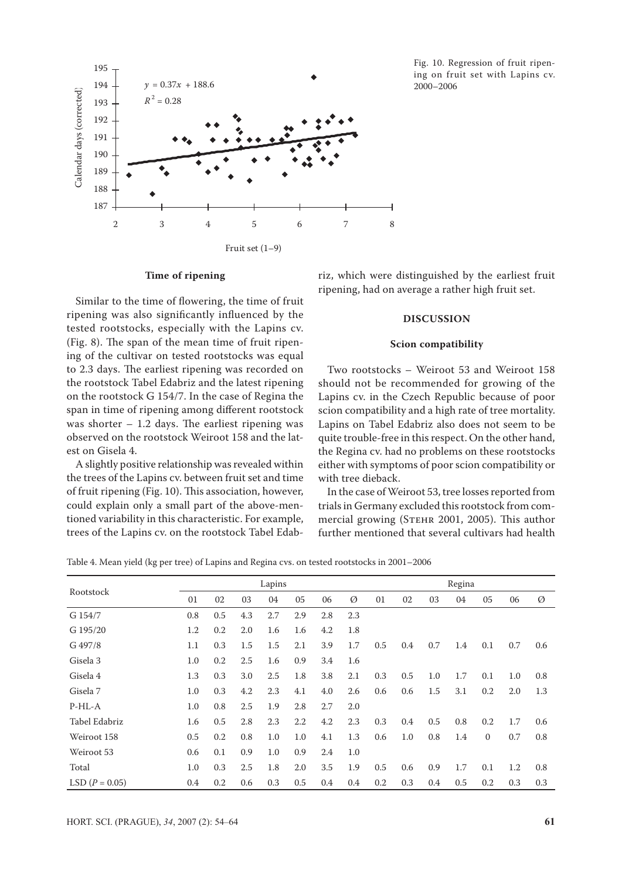

#### Fig. 10. Regression of fruit ripening on fruit set with Lapins cv. 2000–2006

#### **Time of ripening**

Similar to the time of flowering, the time of fruit ripening was also significantly influenced by the tested rootstocks, especially with the Lapins cv. (Fig. 8). The span of the mean time of fruit ripening of the cultivar on tested rootstocks was equal to 2.3 days. The earliest ripening was recorded on the rootstock Tabel Edabriz and the latest ripening on the rootstock G 154/7. In the case of Regina the span in time of ripening among different rootstock was shorter  $-1.2$  days. The earliest ripening was observed on the rootstock Weiroot 158 and the latest on Gisela 4.

A slightly positive relationship was revealed within the trees of the Lapins cv. between fruit set and time of fruit ripening (Fig. 10). This association, however, could explain only a small part of the above-mentioned variability in this characteristic. For example, trees of the Lapins cv. on the rootstock Tabel Edabriz, which were distinguished by the earliest fruit ripening, had on average a rather high fruit set.

### **DISCUSSION**

#### **Scion compatibility**

Two rootstocks – Weiroot 53 and Weiroot 158 should not be recommended for growing of the Lapins cv. in the Czech Republic because of poor scion compatibility and a high rate of tree mortality. Lapins on Tabel Edabriz also does not seem to be quite trouble-free in this respect. On the other hand, the Regina cv. had no problems on these rootstocks either with symptoms of poor scion compatibility or with tree dieback.

In the case of Weiroot 53, tree losses reported from trials in Germany excluded this rootstock from commercial growing (Stehr 2001, 2005). This author further mentioned that several cultivars had health

Table 4. Mean yield (kg per tree) of Lapins and Regina cvs. on tested rootstocks in 2001–2006

|                  |     |     |     | Lapins |     |     | Regina |     |     |     |     |              |     |     |  |
|------------------|-----|-----|-----|--------|-----|-----|--------|-----|-----|-----|-----|--------------|-----|-----|--|
| Rootstock        | 01  | 02  | 03  | 04     | 05  | 06  | Ø      | 01  | 02  | 03  | 04  | 05           | 06  | Ø   |  |
| G 154/7          | 0.8 | 0.5 | 4.3 | 2.7    | 2.9 | 2.8 | 2.3    |     |     |     |     |              |     |     |  |
| G 195/20         | 1.2 | 0.2 | 2.0 | 1.6    | 1.6 | 4.2 | 1.8    |     |     |     |     |              |     |     |  |
| G 497/8          | 1.1 | 0.3 | 1.5 | 1.5    | 2.1 | 3.9 | 1.7    | 0.5 | 0.4 | 0.7 | 1.4 | 0.1          | 0.7 | 0.6 |  |
| Gisela 3         | 1.0 | 0.2 | 2.5 | 1.6    | 0.9 | 3.4 | 1.6    |     |     |     |     |              |     |     |  |
| Gisela 4         | 1.3 | 0.3 | 3.0 | 2.5    | 1.8 | 3.8 | 2.1    | 0.3 | 0.5 | 1.0 | 1.7 | 0.1          | 1.0 | 0.8 |  |
| Gisela 7         | 1.0 | 0.3 | 4.2 | 2.3    | 4.1 | 4.0 | 2.6    | 0.6 | 0.6 | 1.5 | 3.1 | 0.2          | 2.0 | 1.3 |  |
| $P-HL-A$         | 1.0 | 0.8 | 2.5 | 1.9    | 2.8 | 2.7 | 2.0    |     |     |     |     |              |     |     |  |
| Tabel Edabriz    | 1.6 | 0.5 | 2.8 | 2.3    | 2.2 | 4.2 | 2.3    | 0.3 | 0.4 | 0.5 | 0.8 | 0.2          | 1.7 | 0.6 |  |
| Weiroot 158      | 0.5 | 0.2 | 0.8 | 1.0    | 1.0 | 4.1 | 1.3    | 0.6 | 1.0 | 0.8 | 1.4 | $\mathbf{0}$ | 0.7 | 0.8 |  |
| Weiroot 53       | 0.6 | 0.1 | 0.9 | 1.0    | 0.9 | 2.4 | 1.0    |     |     |     |     |              |     |     |  |
| Total            | 1.0 | 0.3 | 2.5 | 1.8    | 2.0 | 3.5 | 1.9    | 0.5 | 0.6 | 0.9 | 1.7 | 0.1          | 1.2 | 0.8 |  |
| LSD $(P = 0.05)$ | 0.4 | 0.2 | 0.6 | 0.3    | 0.5 | 0.4 | 0.4    | 0.2 | 0.3 | 0.4 | 0.5 | 0.2          | 0.3 | 0.3 |  |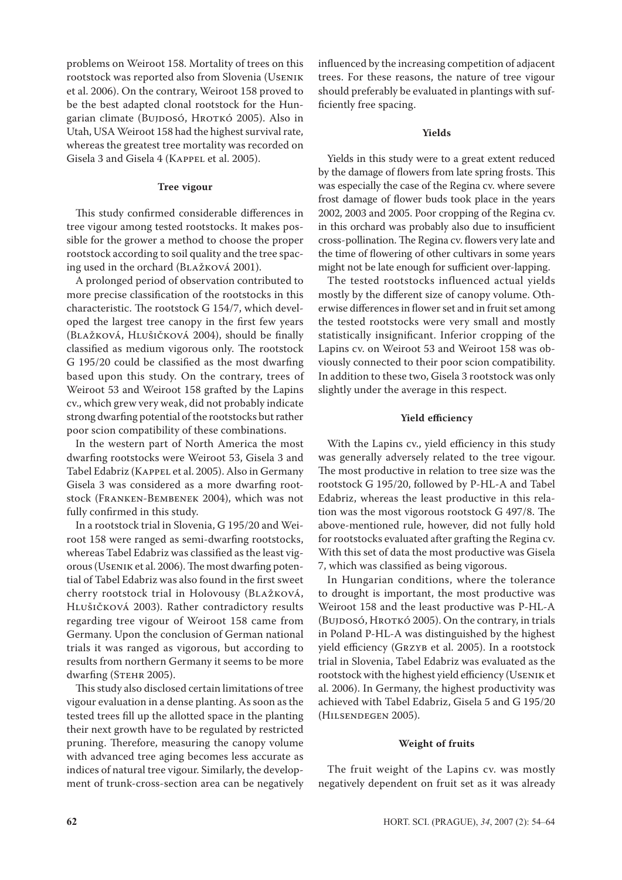problems on Weiroot 158. Mortality of trees on this rootstock was reported also from Slovenia (Usenik et al. 2006). On the contrary, Weiroot 158 proved to be the best adapted clonal rootstock for the Hungarian climate (BUJDOSÓ, HROTKÓ 2005). Also in Utah, USA Weiroot 158 had the highest survival rate, whereas the greatest tree mortality was recorded on Gisela 3 and Gisela 4 (KAPPEL et al. 2005).

#### **Tree vigour**

This study confirmed considerable differences in tree vigour among tested rootstocks. It makes possible for the grower a method to choose the proper rootstock according to soil quality and the tree spacing used in the orchard (Blažková 2001).

A prolonged period of observation contributed to more precise classification of the rootstocks in this characteristic. The rootstock G 154/7, which developed the largest tree canopy in the first few years (Blažková, Hlušičková 2004), should be finally classified as medium vigorous only. The rootstock G 195/20 could be classified as the most dwarfing based upon this study. On the contrary, trees of Weiroot 53 and Weiroot 158 grafted by the Lapins cv., which grew very weak, did not probably indicate strong dwarfing potential of the rootstocks but rather poor scion compatibility of these combinations.

In the western part of North America the most dwarfing rootstocks were Weiroot 53, Gisela 3 and Tabel Edabriz (Kappel et al. 2005). Also in Germany Gisela 3 was considered as a more dwarfing rootstock (Franken-Bembenek 2004), which was not fully confirmed in this study.

In a rootstock trial in Slovenia, G 195/20 and Weiroot 158 were ranged as semi-dwarfing rootstocks, whereas Tabel Edabriz was classified as the least vigorous (Usenik et al. 2006). The most dwarfing potential of Tabel Edabriz was also found in the first sweet cherry rootstock trial in Holovousy (Blažková, Hlušičková 2003). Rather contradictory results regarding tree vigour of Weiroot 158 came from Germany. Upon the conclusion of German national trials it was ranged as vigorous, but according to results from northern Germany it seems to be more dwarfing (STEHR 2005).

This study also disclosed certain limitations of tree vigour evaluation in a dense planting. As soon as the tested trees fill up the allotted space in the planting their next growth have to be regulated by restricted pruning. Therefore, measuring the canopy volume with advanced tree aging becomes less accurate as indices of natural tree vigour. Similarly, the development of trunk-cross-section area can be negatively influenced by the increasing competition of adjacent trees. For these reasons, the nature of tree vigour should preferably be evaluated in plantings with sufficiently free spacing.

# **Yields**

Yields in this study were to a great extent reduced by the damage of flowers from late spring frosts. This was especially the case of the Regina cv. where severe frost damage of flower buds took place in the years 2002, 2003 and 2005. Poor cropping of the Regina cv. in this orchard was probably also due to insufficient cross-pollination. The Regina cv. flowers very late and the time of flowering of other cultivars in some years might not be late enough for sufficient over-lapping.

The tested rootstocks influenced actual yields mostly by the different size of canopy volume. Otherwise differences in flower set and in fruit set among the tested rootstocks were very small and mostly statistically insignificant. Inferior cropping of the Lapins cv. on Weiroot 53 and Weiroot 158 was obviously connected to their poor scion compatibility. In addition to these two, Gisela 3 rootstock was only slightly under the average in this respect.

#### **Yield efficiency**

With the Lapins cv., yield efficiency in this study was generally adversely related to the tree vigour. The most productive in relation to tree size was the rootstock G 195/20, followed by P-HL-A and Tabel Edabriz, whereas the least productive in this relation was the most vigorous rootstock G 497/8. The above-mentioned rule, however, did not fully hold for rootstocks evaluated after grafting the Regina cv. With this set of data the most productive was Gisela 7, which was classified as being vigorous.

In Hungarian conditions, where the tolerance to drought is important, the most productive was Weiroot 158 and the least productive was P-HL-A (Bujdosó, Hrotkó 2005). On the contrary, in trials in Poland P-HL-A was distinguished by the highest yield efficiency (Grzyb et al. 2005). In a rootstock trial in Slovenia, Tabel Edabriz was evaluated as the rootstock with the highest yield efficiency (Usenik et al. 2006). In Germany, the highest productivity was achieved with Tabel Edabriz, Gisela 5 and G 195/20 (Hilsendegen 2005).

#### **Weight of fruits**

The fruit weight of the Lapins cv. was mostly negatively dependent on fruit set as it was already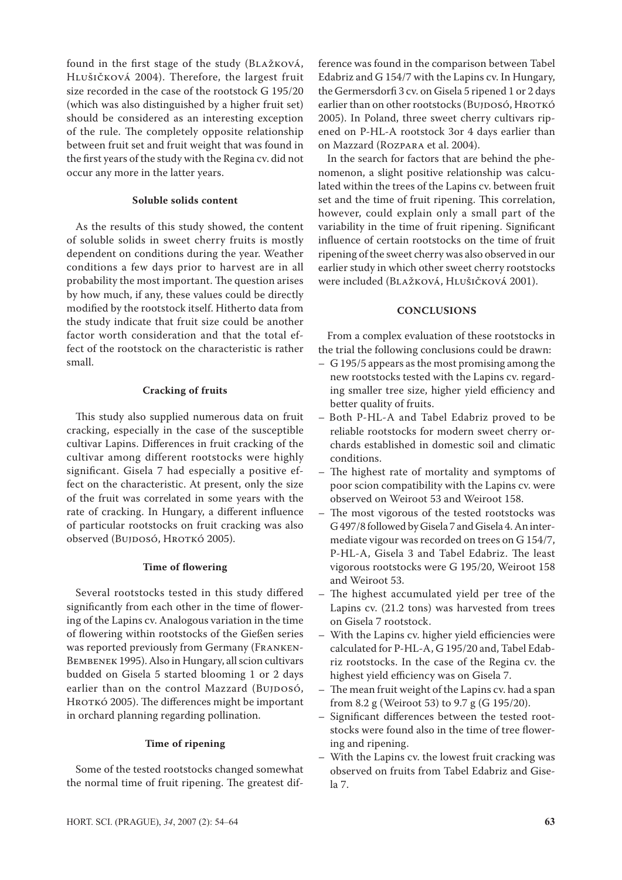found in the first stage of the study (Blažková, Hlušičková 2004). Therefore, the largest fruit size recorded in the case of the rootstock G 195/20 (which was also distinguished by a higher fruit set) should be considered as an interesting exception of the rule. The completely opposite relationship between fruit set and fruit weight that was found in the first years of the study with the Regina cv. did not occur any more in the latter years.

# **Soluble solids content**

As the results of this study showed, the content of soluble solids in sweet cherry fruits is mostly dependent on conditions during the year. Weather conditions a few days prior to harvest are in all probability the most important. The question arises by how much, if any, these values could be directly modified by the rootstock itself. Hitherto data from the study indicate that fruit size could be another factor worth consideration and that the total effect of the rootstock on the characteristic is rather small.

#### **Cracking of fruits**

This study also supplied numerous data on fruit cracking, especially in the case of the susceptible cultivar Lapins. Differences in fruit cracking of the cultivar among different rootstocks were highly significant. Gisela 7 had especially a positive effect on the characteristic. At present, only the size of the fruit was correlated in some years with the rate of cracking. In Hungary, a different influence of particular rootstocks on fruit cracking was also observed (Bujdosó, Hrotkó 2005).

# **Time of flowering**

Several rootstocks tested in this study differed significantly from each other in the time of flowering of the Lapins cv. Analogous variation in the time of flowering within rootstocks of the Gießen series was reported previously from Germany (FRANKEN-Bembenek 1995). Also in Hungary, all scion cultivars budded on Gisela 5 started blooming 1 or 2 days earlier than on the control Mazzard (BUJDOSÓ, HROTKÓ 2005). The differences might be important in orchard planning regarding pollination.

### **Time of ripening**

Some of the tested rootstocks changed somewhat the normal time of fruit ripening. The greatest dif-

ference was found in the comparison between Tabel Edabriz and G 154/7 with the Lapins cv. In Hungary, the Germersdorfi 3 cv. on Gisela 5 ripened 1 or 2 days earlier than on other rootstocks (BujDosó, HROTKÓ 2005). In Poland, three sweet cherry cultivars ripened on P-HL-A rootstock 3or 4 days earlier than on Mazzard (Rozpara et al. 2004).

In the search for factors that are behind the phenomenon, a slight positive relationship was calculated within the trees of the Lapins cv. between fruit set and the time of fruit ripening. This correlation, however, could explain only a small part of the variability in the time of fruit ripening. Significant influence of certain rootstocks on the time of fruit ripening of the sweet cherry was also observed in our earlier study in which other sweet cherry rootstocks were included (BLAŽKOVÁ, HLUŠIČKOVÁ 2001).

#### **CONCLUSIONS**

From a complex evaluation of these rootstocks in the trial the following conclusions could be drawn:

- G 195/5 appears as the most promising among the new rootstocks tested with the Lapins cv. regarding smaller tree size, higher yield efficiency and better quality of fruits.
- Both P-HL-A and Tabel Edabriz proved to be reliable rootstocks for modern sweet cherry orchards established in domestic soil and climatic conditions.
- The highest rate of mortality and symptoms of poor scion compatibility with the Lapins cv. were observed on Weiroot 53 and Weiroot 158.
- The most vigorous of the tested rootstocks was G 497/8 followed by Gisela 7 and Gisela 4. An intermediate vigour was recorded on trees on G 154/7, P-HL-A, Gisela 3 and Tabel Edabriz. The least vigorous rootstocks were G 195/20, Weiroot 158 and Weiroot 53.
- The highest accumulated yield per tree of the Lapins cv. (21.2 tons) was harvested from trees on Gisela 7 rootstock.
- With the Lapins cv. higher yield efficiencies were calculated for P-HL-A, G 195/20 and, Tabel Edabriz rootstocks. In the case of the Regina cv. the highest yield efficiency was on Gisela 7.
- The mean fruit weight of the Lapins cv. had a span from 8.2 g (Weiroot 53) to 9.7 g (G 195/20).
- Significant differences between the tested rootstocks were found also in the time of tree flowering and ripening.
- With the Lapins cv. the lowest fruit cracking was observed on fruits from Tabel Edabriz and Gisela 7.